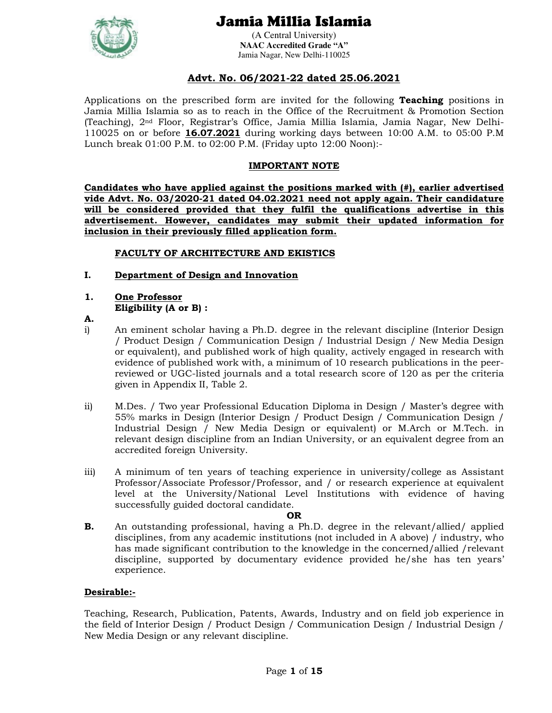

(A Central University) **NAAC Accredited Grade "A"**  Jamia Nagar, New Delhi-110025

### **Advt. No. 06/2021-22 dated 25.06.2021**

Applications on the prescribed form are invited for the following **Teaching** positions in Jamia Millia Islamia so as to reach in the Office of the Recruitment & Promotion Section (Teaching), 2nd Floor, Registrar's Office, Jamia Millia Islamia, Jamia Nagar, New Delhi-110025 on or before **16.07.2021** during working days between 10:00 A.M. to 05:00 P.M Lunch break 01:00 P.M. to 02:00 P.M. (Friday upto 12:00 Noon):-

#### **IMPORTANT NOTE**

**Candidates who have applied against the positions marked with (#), earlier advertised vide Advt. No. 03/2020-21 dated 04.02.2021 need not apply again. Their candidature will be considered provided that they fulfil the qualifications advertise in this advertisement. However, candidates may submit their updated information for inclusion in their previously filled application form.**

#### **FACULTY OF ARCHITECTURE AND EKISTICS**

### **I. Department of Design and Innovation**

#### **1. One Professor Eligibility (A or B) :**

- **A.**
- i) An eminent scholar having a Ph.D. degree in the relevant discipline (Interior Design / Product Design / Communication Design / Industrial Design / New Media Design or equivalent), and published work of high quality, actively engaged in research with evidence of published work with, a minimum of 10 research publications in the peerreviewed or UGC-listed journals and a total research score of 120 as per the criteria given in Appendix II, Table 2.
- ii) M.Des. / Two year Professional Education Diploma in Design / Master's degree with 55% marks in Design (Interior Design / Product Design / Communication Design / Industrial Design / New Media Design or equivalent) or M.Arch or M.Tech. in relevant design discipline from an Indian University, or an equivalent degree from an accredited foreign University.
- iii) A minimum of ten years of teaching experience in university/college as Assistant Professor/Associate Professor/Professor, and / or research experience at equivalent level at the University/National Level Institutions with evidence of having successfully guided doctoral candidate.

#### **OR**

**B.** An outstanding professional, having a Ph.D. degree in the relevant/allied/ applied disciplines, from any academic institutions (not included in A above) / industry, who has made significant contribution to the knowledge in the concerned/allied /relevant discipline, supported by documentary evidence provided he/she has ten years' experience.

#### **Desirable:-**

Teaching, Research, Publication, Patents, Awards, Industry and on field job experience in the field of Interior Design / Product Design / Communication Design / Industrial Design / New Media Design or any relevant discipline.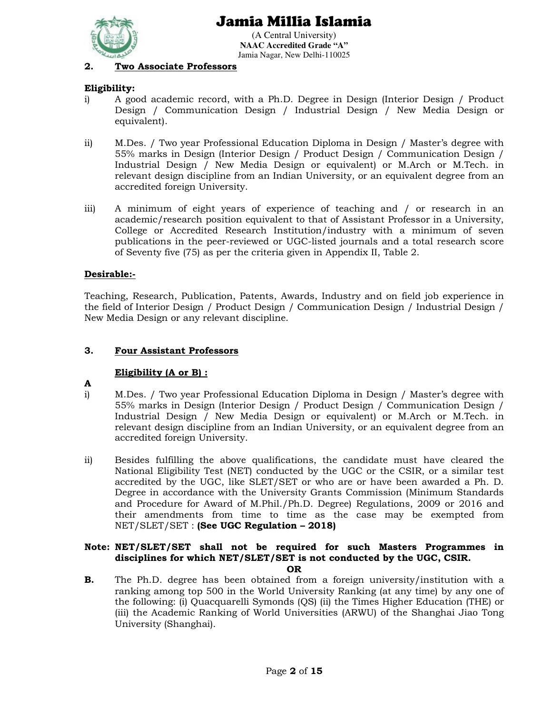

(A Central University) **NAAC Accredited Grade "A"**  Jamia Nagar, New Delhi-110025

### **2. Two Associate Professors**

### **Eligibility:**

- i) A good academic record, with a Ph.D. Degree in Design (Interior Design / Product Design / Communication Design / Industrial Design / New Media Design or equivalent).
- ii) M.Des. / Two year Professional Education Diploma in Design / Master's degree with 55% marks in Design (Interior Design / Product Design / Communication Design / Industrial Design / New Media Design or equivalent) or M.Arch or M.Tech. in relevant design discipline from an Indian University, or an equivalent degree from an accredited foreign University.
- iii) A minimum of eight years of experience of teaching and / or research in an academic/research position equivalent to that of Assistant Professor in a University, College or Accredited Research Institution/industry with a minimum of seven publications in the peer-reviewed or UGC-listed journals and a total research score of Seventy five (75) as per the criteria given in Appendix II, Table 2.

### **Desirable:-**

Teaching, Research, Publication, Patents, Awards, Industry and on field job experience in the field of Interior Design / Product Design / Communication Design / Industrial Design / New Media Design or any relevant discipline.

### **3. Four Assistant Professors**

#### **Eligibility (A or B) :**

- **A**
- i) M.Des. / Two year Professional Education Diploma in Design / Master's degree with 55% marks in Design (Interior Design / Product Design / Communication Design / Industrial Design / New Media Design or equivalent) or M.Arch or M.Tech. in relevant design discipline from an Indian University, or an equivalent degree from an accredited foreign University.
- ii) Besides fulfilling the above qualifications, the candidate must have cleared the National Eligibility Test (NET) conducted by the UGC or the CSIR, or a similar test accredited by the UGC, like SLET/SET or who are or have been awarded a Ph. D. Degree in accordance with the University Grants Commission (Minimum Standards and Procedure for Award of M.Phil./Ph.D. Degree) Regulations, 2009 or 2016 and their amendments from time to time as the case may be exempted from NET/SLET/SET : **(See UGC Regulation – 2018)**

# **Note: NET/SLET/SET shall not be required for such Masters Programmes in disciplines for which NET/SLET/SET is not conducted by the UGC, CSIR.**

- **OR**
- **B.** The Ph.D. degree has been obtained from a foreign university/institution with a ranking among top 500 in the World University Ranking (at any time) by any one of the following: (i) Quacquarelli Symonds (QS) (ii) the Times Higher Education (THE) or (iii) the Academic Ranking of World Universities (ARWU) of the Shanghai Jiao Tong University (Shanghai).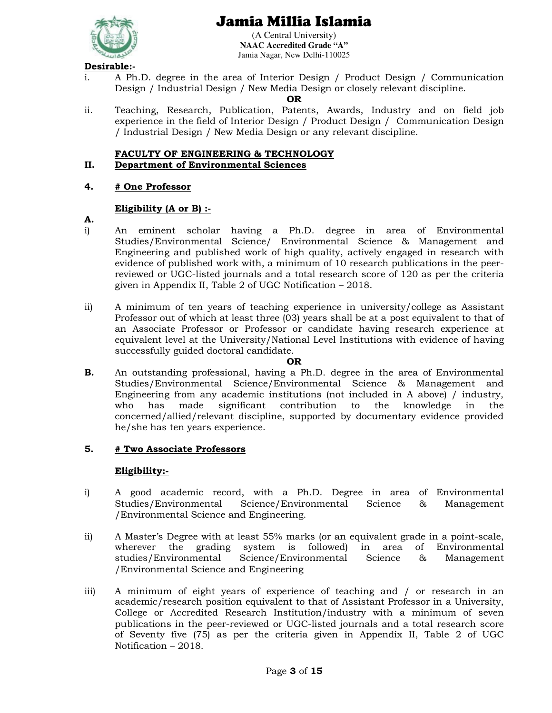

(A Central University) **NAAC Accredited Grade "A"**  Jamia Nagar, New Delhi-110025

## **Desirable:-**

i. A Ph.D. degree in the area of Interior Design / Product Design / Communication Design / Industrial Design / New Media Design or closely relevant discipline.

#### **OR**

ii. Teaching, Research, Publication, Patents, Awards, Industry and on field job experience in the field of Interior Design / Product Design / Communication Design / Industrial Design / New Media Design or any relevant discipline.

# **FACULTY OF ENGINEERING & TECHNOLOGY**

### **II. Department of Environmental Sciences**

#### **4. # One Professor**

#### **Eligibility (A or B) :-**

- **A.**
- i) An eminent scholar having a Ph.D. degree in area of Environmental Studies/Environmental Science/ Environmental Science & Management and Engineering and published work of high quality, actively engaged in research with evidence of published work with, a minimum of 10 research publications in the peerreviewed or UGC-listed journals and a total research score of 120 as per the criteria given in Appendix II, Table 2 of UGC Notification – 2018.
- ii) A minimum of ten years of teaching experience in university/college as Assistant Professor out of which at least three (03) years shall be at a post equivalent to that of an Associate Professor or Professor or candidate having research experience at equivalent level at the University/National Level Institutions with evidence of having successfully guided doctoral candidate.

#### **OR**

**B.** An outstanding professional, having a Ph.D. degree in the area of Environmental Studies/Environmental Science/Environmental Science & Management and Engineering from any academic institutions (not included in A above) / industry, who has made significant contribution to the knowledge in the concerned/allied/relevant discipline, supported by documentary evidence provided he/she has ten years experience.

#### **5. # Two Associate Professors**

#### **Eligibility:-**

- i) A good academic record, with a Ph.D. Degree in area of Environmental Studies/Environmental Science/Environmental Science & Management /Environmental Science and Engineering.
- ii) A Master's Degree with at least 55% marks (or an equivalent grade in a point-scale, wherever the grading system is followed) in area of Environmental studies/Environmental Science/Environmental Science & Management /Environmental Science and Engineering
- iii) A minimum of eight years of experience of teaching and / or research in an academic/research position equivalent to that of Assistant Professor in a University, College or Accredited Research Institution/industry with a minimum of seven publications in the peer-reviewed or UGC-listed journals and a total research score of Seventy five (75) as per the criteria given in Appendix II, Table 2 of UGC Notification – 2018.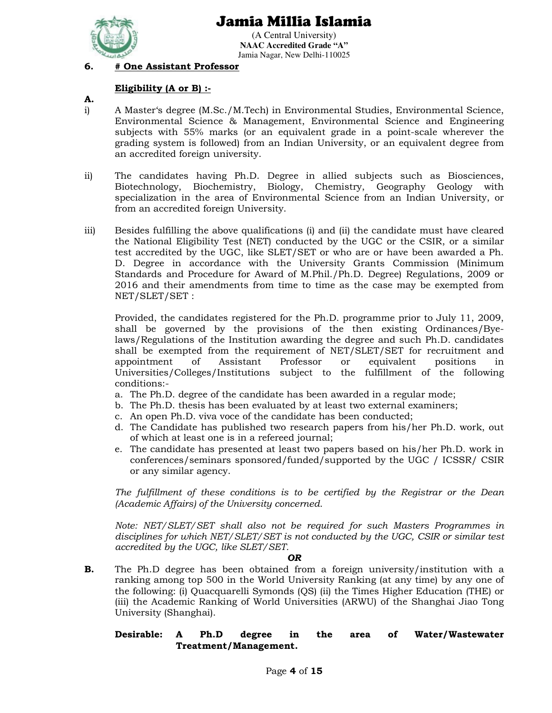

(A Central University) **NAAC Accredited Grade "A"**  Jamia Nagar, New Delhi-110025

## **6. # One Assistant Professor**

### **Eligibility (A or B) :-**

- **A.**
- i) A Master's degree (M.Sc./M.Tech) in Environmental Studies, Environmental Science, Environmental Science & Management, Environmental Science and Engineering subjects with 55% marks (or an equivalent grade in a point-scale wherever the grading system is followed) from an Indian University, or an equivalent degree from an accredited foreign university.
- ii) The candidates having Ph.D. Degree in allied subjects such as Biosciences, Biotechnology, Biochemistry, Biology, Chemistry, Geography Geology with specialization in the area of Environmental Science from an Indian University, or from an accredited foreign University.
- iii) Besides fulfilling the above qualifications (i) and (ii) the candidate must have cleared the National Eligibility Test (NET) conducted by the UGC or the CSIR, or a similar test accredited by the UGC, like SLET/SET or who are or have been awarded a Ph. D. Degree in accordance with the University Grants Commission (Minimum Standards and Procedure for Award of M.Phil./Ph.D. Degree) Regulations, 2009 or 2016 and their amendments from time to time as the case may be exempted from NET/SLET/SET :

Provided, the candidates registered for the Ph.D. programme prior to July 11, 2009, shall be governed by the provisions of the then existing Ordinances/Byelaws/Regulations of the Institution awarding the degree and such Ph.D. candidates shall be exempted from the requirement of NET/SLET/SET for recruitment and appointment of Assistant Professor or equivalent positions in Universities/Colleges/Institutions subject to the fulfillment of the following conditions:-

- a. The Ph.D. degree of the candidate has been awarded in a regular mode;
- b. The Ph.D. thesis has been evaluated by at least two external examiners;
- c. An open Ph.D. viva voce of the candidate has been conducted;
- d. The Candidate has published two research papers from his/her Ph.D. work, out of which at least one is in a refereed journal;
- e. The candidate has presented at least two papers based on his/her Ph.D. work in conferences/seminars sponsored/funded/supported by the UGC / ICSSR/ CSIR or any similar agency.

*The fulfillment of these conditions is to be certified by the Registrar or the Dean (Academic Affairs) of the University concerned.* 

*Note: NET/SLET/SET shall also not be required for such Masters Programmes in disciplines for which NET/SLET/SET is not conducted by the UGC, CSIR or similar test accredited by the UGC, like SLET/SET.* 

#### *OR*

**B.** The Ph.D degree has been obtained from a foreign university/institution with a ranking among top 500 in the World University Ranking (at any time) by any one of the following: (i) Quacquarelli Symonds (QS) (ii) the Times Higher Education (THE) or (iii) the Academic Ranking of World Universities (ARWU) of the Shanghai Jiao Tong University (Shanghai).

**Desirable: A Ph.D degree in the area of Water/Wastewater Treatment/Management.**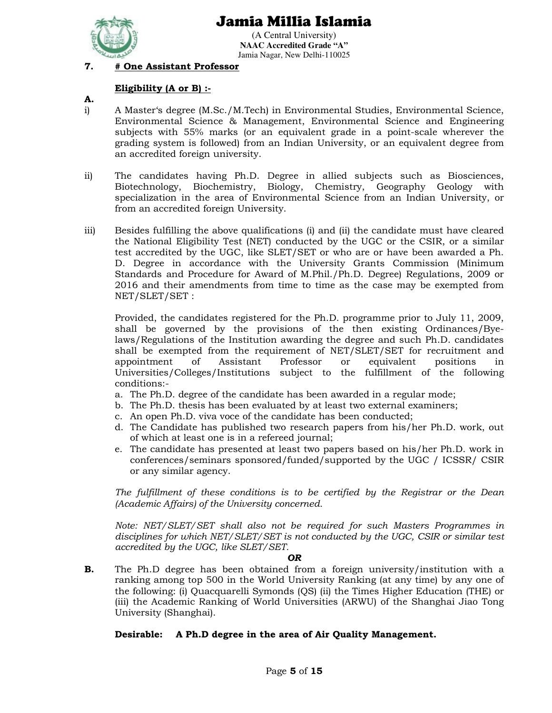

(A Central University) **NAAC Accredited Grade "A"**  Jamia Nagar, New Delhi-110025

## **7. # One Assistant Professor**

#### **Eligibility (A or B) :-**

- **A.**
- i) A Master's degree (M.Sc./M.Tech) in Environmental Studies, Environmental Science, Environmental Science & Management, Environmental Science and Engineering subjects with 55% marks (or an equivalent grade in a point-scale wherever the grading system is followed) from an Indian University, or an equivalent degree from an accredited foreign university.
- ii) The candidates having Ph.D. Degree in allied subjects such as Biosciences, Biotechnology, Biochemistry, Biology, Chemistry, Geography Geology with specialization in the area of Environmental Science from an Indian University, or from an accredited foreign University.
- iii) Besides fulfilling the above qualifications (i) and (ii) the candidate must have cleared the National Eligibility Test (NET) conducted by the UGC or the CSIR, or a similar test accredited by the UGC, like SLET/SET or who are or have been awarded a Ph. D. Degree in accordance with the University Grants Commission (Minimum Standards and Procedure for Award of M.Phil./Ph.D. Degree) Regulations, 2009 or 2016 and their amendments from time to time as the case may be exempted from NET/SLET/SET :

Provided, the candidates registered for the Ph.D. programme prior to July 11, 2009, shall be governed by the provisions of the then existing Ordinances/Byelaws/Regulations of the Institution awarding the degree and such Ph.D. candidates shall be exempted from the requirement of NET/SLET/SET for recruitment and appointment of Assistant Professor or equivalent positions in Universities/Colleges/Institutions subject to the fulfillment of the following conditions:-

- a. The Ph.D. degree of the candidate has been awarded in a regular mode;
- b. The Ph.D. thesis has been evaluated by at least two external examiners;
- c. An open Ph.D. viva voce of the candidate has been conducted;
- d. The Candidate has published two research papers from his/her Ph.D. work, out of which at least one is in a refereed journal;
- e. The candidate has presented at least two papers based on his/her Ph.D. work in conferences/seminars sponsored/funded/supported by the UGC / ICSSR/ CSIR or any similar agency.

*The fulfillment of these conditions is to be certified by the Registrar or the Dean (Academic Affairs) of the University concerned.* 

*Note: NET/SLET/SET shall also not be required for such Masters Programmes in disciplines for which NET/SLET/SET is not conducted by the UGC, CSIR or similar test accredited by the UGC, like SLET/SET.* 

#### *OR*

**B.** The Ph.D degree has been obtained from a foreign university/institution with a ranking among top 500 in the World University Ranking (at any time) by any one of the following: (i) Quacquarelli Symonds (QS) (ii) the Times Higher Education (THE) or (iii) the Academic Ranking of World Universities (ARWU) of the Shanghai Jiao Tong University (Shanghai).

## **Desirable: A Ph.D degree in the area of Air Quality Management.**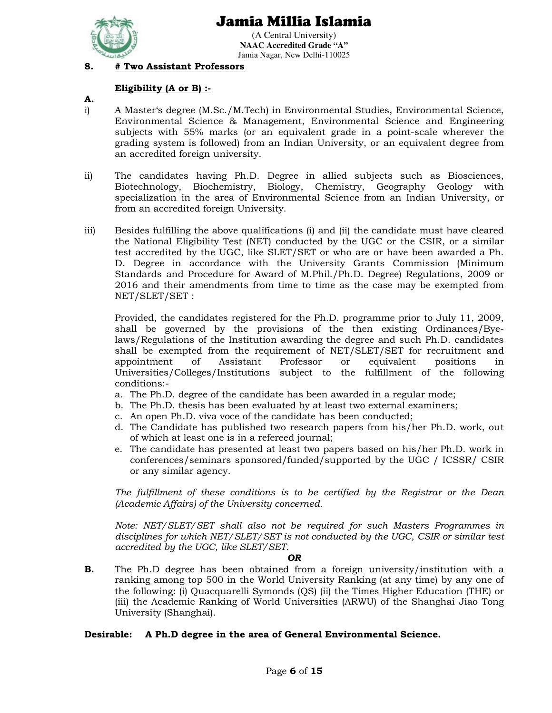

(A Central University) **NAAC Accredited Grade "A"**  Jamia Nagar, New Delhi-110025

## **8. # Two Assistant Professors**

### **Eligibility (A or B) :-**

- **A.**
- i) A Master's degree (M.Sc./M.Tech) in Environmental Studies, Environmental Science, Environmental Science & Management, Environmental Science and Engineering subjects with 55% marks (or an equivalent grade in a point-scale wherever the grading system is followed) from an Indian University, or an equivalent degree from an accredited foreign university.
- ii) The candidates having Ph.D. Degree in allied subjects such as Biosciences, Biotechnology, Biochemistry, Biology, Chemistry, Geography Geology with specialization in the area of Environmental Science from an Indian University, or from an accredited foreign University.
- iii) Besides fulfilling the above qualifications (i) and (ii) the candidate must have cleared the National Eligibility Test (NET) conducted by the UGC or the CSIR, or a similar test accredited by the UGC, like SLET/SET or who are or have been awarded a Ph. D. Degree in accordance with the University Grants Commission (Minimum Standards and Procedure for Award of M.Phil./Ph.D. Degree) Regulations, 2009 or 2016 and their amendments from time to time as the case may be exempted from NET/SLET/SET :

Provided, the candidates registered for the Ph.D. programme prior to July 11, 2009, shall be governed by the provisions of the then existing Ordinances/Byelaws/Regulations of the Institution awarding the degree and such Ph.D. candidates shall be exempted from the requirement of NET/SLET/SET for recruitment and appointment of Assistant Professor or equivalent positions in Universities/Colleges/Institutions subject to the fulfillment of the following conditions:-

- a. The Ph.D. degree of the candidate has been awarded in a regular mode;
- b. The Ph.D. thesis has been evaluated by at least two external examiners;
- c. An open Ph.D. viva voce of the candidate has been conducted;
- d. The Candidate has published two research papers from his/her Ph.D. work, out of which at least one is in a refereed journal;
- e. The candidate has presented at least two papers based on his/her Ph.D. work in conferences/seminars sponsored/funded/supported by the UGC / ICSSR/ CSIR or any similar agency.

*The fulfillment of these conditions is to be certified by the Registrar or the Dean (Academic Affairs) of the University concerned.* 

*Note: NET/SLET/SET shall also not be required for such Masters Programmes in disciplines for which NET/SLET/SET is not conducted by the UGC, CSIR or similar test accredited by the UGC, like SLET/SET.* 

#### *OR*

**B.** The Ph.D degree has been obtained from a foreign university/institution with a ranking among top 500 in the World University Ranking (at any time) by any one of the following: (i) Quacquarelli Symonds (QS) (ii) the Times Higher Education (THE) or (iii) the Academic Ranking of World Universities (ARWU) of the Shanghai Jiao Tong University (Shanghai).

## **Desirable: A Ph.D degree in the area of General Environmental Science.**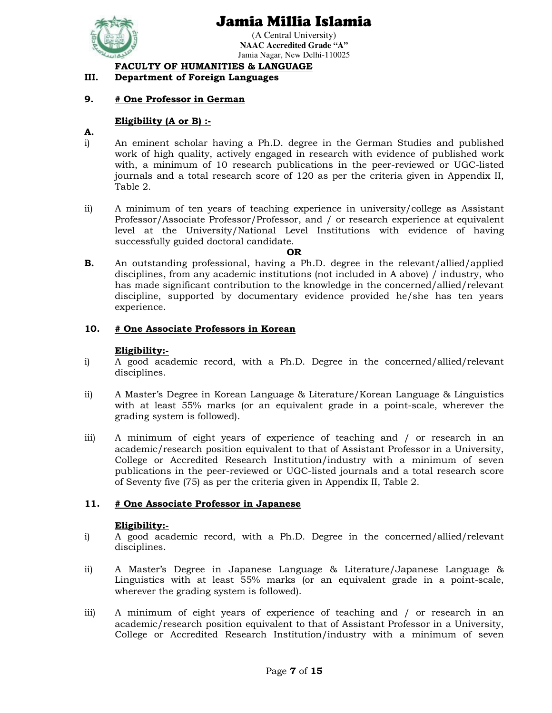

(A Central University) **NAAC Accredited Grade "A"**  Jamia Nagar, New Delhi-110025

 **FACULTY OF HUMANITIES & LANGUAGE**

### **III. Department of Foreign Languages**

#### **9. # One Professor in German**

#### **Eligibility (A or B) :-**

#### **A.**

- i) An eminent scholar having a Ph.D. degree in the German Studies and published work of high quality, actively engaged in research with evidence of published work with, a minimum of 10 research publications in the peer-reviewed or UGC-listed journals and a total research score of 120 as per the criteria given in Appendix II, Table 2.
- ii) A minimum of ten years of teaching experience in university/college as Assistant Professor/Associate Professor/Professor, and / or research experience at equivalent level at the University/National Level Institutions with evidence of having successfully guided doctoral candidate.

#### **OR**

**B.** An outstanding professional, having a Ph.D. degree in the relevant/allied/applied disciplines, from any academic institutions (not included in A above) / industry, who has made significant contribution to the knowledge in the concerned/allied/relevant discipline, supported by documentary evidence provided he/she has ten years experience.

#### **10. # One Associate Professors in Korean**

#### **Eligibility:-**

- i) A good academic record, with a Ph.D. Degree in the concerned/allied/relevant disciplines.
- ii) A Master's Degree in Korean Language & Literature/Korean Language & Linguistics with at least 55% marks (or an equivalent grade in a point-scale, wherever the grading system is followed).
- iii) A minimum of eight years of experience of teaching and / or research in an academic/research position equivalent to that of Assistant Professor in a University, College or Accredited Research Institution/industry with a minimum of seven publications in the peer-reviewed or UGC-listed journals and a total research score of Seventy five (75) as per the criteria given in Appendix II, Table 2.

#### **11. # One Associate Professor in Japanese**

#### **Eligibility:-**

- i) A good academic record, with a Ph.D. Degree in the concerned/allied/relevant disciplines.
- ii) A Master's Degree in Japanese Language & Literature/Japanese Language & Linguistics with at least 55% marks (or an equivalent grade in a point-scale, wherever the grading system is followed).
- iii) A minimum of eight years of experience of teaching and / or research in an academic/research position equivalent to that of Assistant Professor in a University, College or Accredited Research Institution/industry with a minimum of seven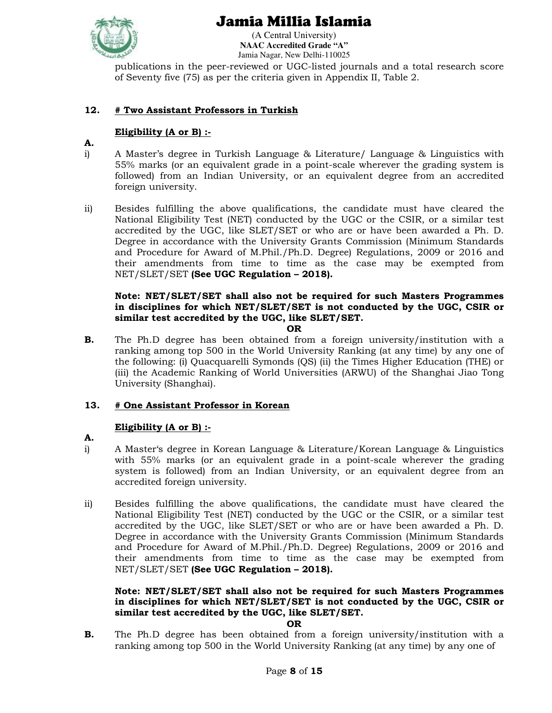

(A Central University) **NAAC Accredited Grade "A"**  Jamia Nagar, New Delhi-110025

publications in the peer-reviewed or UGC-listed journals and a total research score of Seventy five (75) as per the criteria given in Appendix II, Table 2.

## **12. # Two Assistant Professors in Turkish**

## **Eligibility (A or B) :-**

- **A.**
- i) A Master's degree in Turkish Language & Literature/ Language & Linguistics with 55% marks (or an equivalent grade in a point-scale wherever the grading system is followed) from an Indian University, or an equivalent degree from an accredited foreign university.
- ii) Besides fulfilling the above qualifications, the candidate must have cleared the National Eligibility Test (NET) conducted by the UGC or the CSIR, or a similar test accredited by the UGC, like SLET/SET or who are or have been awarded a Ph. D. Degree in accordance with the University Grants Commission (Minimum Standards and Procedure for Award of M.Phil./Ph.D. Degree) Regulations, 2009 or 2016 and their amendments from time to time as the case may be exempted from NET/SLET/SET **(See UGC Regulation – 2018).**

#### **Note: NET/SLET/SET shall also not be required for such Masters Programmes in disciplines for which NET/SLET/SET is not conducted by the UGC, CSIR or similar test accredited by the UGC, like SLET/SET.**

**OR** 

**B.** The Ph.D degree has been obtained from a foreign university/institution with a ranking among top 500 in the World University Ranking (at any time) by any one of the following: (i) Quacquarelli Symonds (QS) (ii) the Times Higher Education (THE) or (iii) the Academic Ranking of World Universities (ARWU) of the Shanghai Jiao Tong University (Shanghai).

## **13. # One Assistant Professor in Korean**

## **Eligibility (A or B) :-**

- **A.**
- i) A Master's degree in Korean Language & Literature/Korean Language & Linguistics with 55% marks (or an equivalent grade in a point-scale wherever the grading system is followed) from an Indian University, or an equivalent degree from an accredited foreign university.
- ii) Besides fulfilling the above qualifications, the candidate must have cleared the National Eligibility Test (NET) conducted by the UGC or the CSIR, or a similar test accredited by the UGC, like SLET/SET or who are or have been awarded a Ph. D. Degree in accordance with the University Grants Commission (Minimum Standards and Procedure for Award of M.Phil./Ph.D. Degree) Regulations, 2009 or 2016 and their amendments from time to time as the case may be exempted from NET/SLET/SET **(See UGC Regulation – 2018).**

### **Note: NET/SLET/SET shall also not be required for such Masters Programmes in disciplines for which NET/SLET/SET is not conducted by the UGC, CSIR or similar test accredited by the UGC, like SLET/SET.**

#### **OR**

**B.** The Ph.D degree has been obtained from a foreign university/institution with a ranking among top 500 in the World University Ranking (at any time) by any one of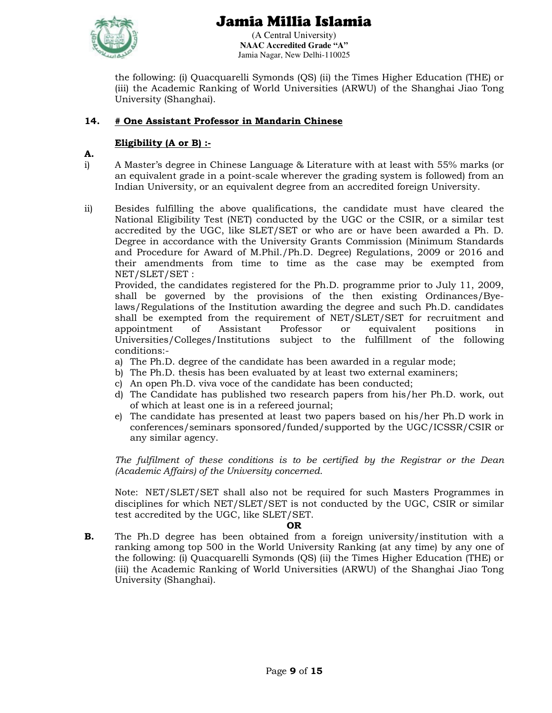

(A Central University) **NAAC Accredited Grade "A"**  Jamia Nagar, New Delhi-110025

the following: (i) Quacquarelli Symonds (QS) (ii) the Times Higher Education (THE) or (iii) the Academic Ranking of World Universities (ARWU) of the Shanghai Jiao Tong University (Shanghai).

## **14. # One Assistant Professor in Mandarin Chinese**

## **Eligibility (A or B) :-**

- **A.**
- i) A Master's degree in Chinese Language & Literature with at least with 55% marks (or an equivalent grade in a point-scale wherever the grading system is followed) from an Indian University, or an equivalent degree from an accredited foreign University.
- ii) Besides fulfilling the above qualifications, the candidate must have cleared the National Eligibility Test (NET) conducted by the UGC or the CSIR, or a similar test accredited by the UGC, like SLET/SET or who are or have been awarded a Ph. D. Degree in accordance with the University Grants Commission (Minimum Standards and Procedure for Award of M.Phil./Ph.D. Degree) Regulations, 2009 or 2016 and their amendments from time to time as the case may be exempted from NET/SLET/SET :

 Provided, the candidates registered for the Ph.D. programme prior to July 11, 2009, shall be governed by the provisions of the then existing Ordinances/Byelaws/Regulations of the Institution awarding the degree and such Ph.D. candidates shall be exempted from the requirement of NET/SLET/SET for recruitment and appointment of Assistant Professor or equivalent positions in Universities/Colleges/Institutions subject to the fulfillment of the following conditions:-

- a) The Ph.D. degree of the candidate has been awarded in a regular mode;
- b) The Ph.D. thesis has been evaluated by at least two external examiners;
- c) An open Ph.D. viva voce of the candidate has been conducted;
- d) The Candidate has published two research papers from his/her Ph.D. work, out of which at least one is in a refereed journal;
- e) The candidate has presented at least two papers based on his/her Ph.D work in conferences/seminars sponsored/funded/supported by the UGC/ICSSR/CSIR or any similar agency.

*The fulfilment of these conditions is to be certified by the Registrar or the Dean (Academic Affairs) of the University concerned.* 

Note: NET/SLET/SET shall also not be required for such Masters Programmes in disciplines for which NET/SLET/SET is not conducted by the UGC, CSIR or similar test accredited by the UGC, like SLET/SET.

## **OR**

**B.** The Ph.D degree has been obtained from a foreign university/institution with a ranking among top 500 in the World University Ranking (at any time) by any one of the following: (i) Quacquarelli Symonds (QS) (ii) the Times Higher Education (THE) or (iii) the Academic Ranking of World Universities (ARWU) of the Shanghai Jiao Tong University (Shanghai).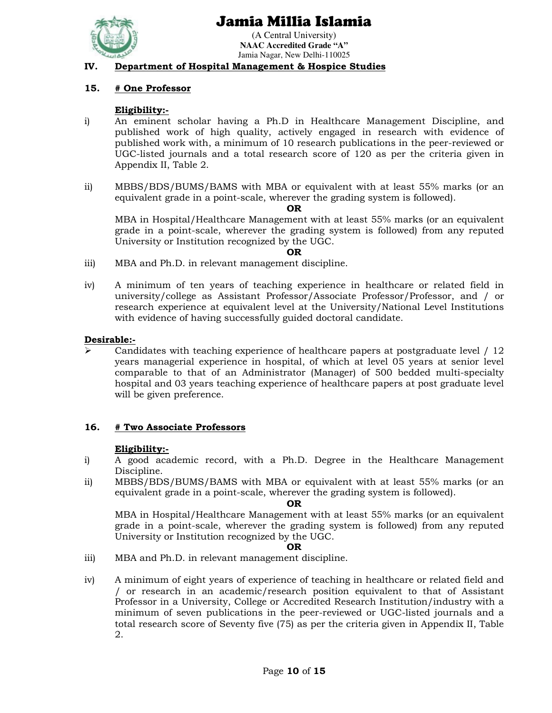

(A Central University) **NAAC Accredited Grade "A"**  Jamia Nagar, New Delhi-110025

#### **IV. Department of Hospital Management & Hospice Studies**

### **15. # One Professor**

#### **Eligibility:-**

- i) An eminent scholar having a Ph.D in Healthcare Management Discipline, and published work of high quality, actively engaged in research with evidence of published work with, a minimum of 10 research publications in the peer-reviewed or UGC-listed journals and a total research score of 120 as per the criteria given in Appendix II, Table 2.
- ii) MBBS/BDS/BUMS/BAMS with MBA or equivalent with at least 55% marks (or an equivalent grade in a point-scale, wherever the grading system is followed).

#### **OR**

MBA in Hospital/Healthcare Management with at least 55% marks (or an equivalent grade in a point-scale, wherever the grading system is followed) from any reputed University or Institution recognized by the UGC.

#### **OR**

- iii) MBA and Ph.D. in relevant management discipline.
- iv) A minimum of ten years of teaching experience in healthcare or related field in university/college as Assistant Professor/Associate Professor/Professor, and / or research experience at equivalent level at the University/National Level Institutions with evidence of having successfully guided doctoral candidate.

#### **Desirable:-**

 Candidates with teaching experience of healthcare papers at postgraduate level / 12 years managerial experience in hospital, of which at level 05 years at senior level comparable to that of an Administrator (Manager) of 500 bedded multi-specialty hospital and 03 years teaching experience of healthcare papers at post graduate level will be given preference.

#### **16. # Two Associate Professors**

#### **Eligibility:-**

- i) A good academic record, with a Ph.D. Degree in the Healthcare Management Discipline.
- ii) MBBS/BDS/BUMS/BAMS with MBA or equivalent with at least 55% marks (or an equivalent grade in a point-scale, wherever the grading system is followed).

#### **OR**

MBA in Hospital/Healthcare Management with at least 55% marks (or an equivalent grade in a point-scale, wherever the grading system is followed) from any reputed University or Institution recognized by the UGC.

#### **OR**

- iii) MBA and Ph.D. in relevant management discipline.
- iv) A minimum of eight years of experience of teaching in healthcare or related field and / or research in an academic/research position equivalent to that of Assistant Professor in a University, College or Accredited Research Institution/industry with a minimum of seven publications in the peer-reviewed or UGC-listed journals and a total research score of Seventy five (75) as per the criteria given in Appendix II, Table 2.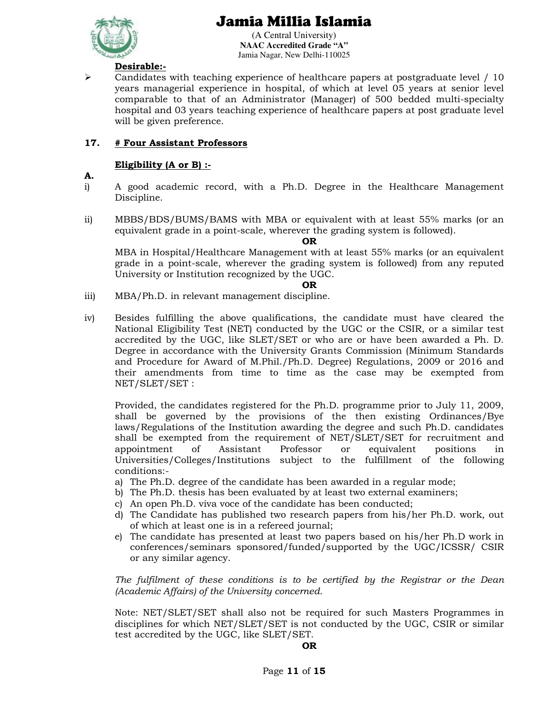

(A Central University) **NAAC Accredited Grade "A"**  Jamia Nagar, New Delhi-110025

## **Desirable:-**

 $\triangleright$  Candidates with teaching experience of healthcare papers at postgraduate level / 10 years managerial experience in hospital, of which at level 05 years at senior level comparable to that of an Administrator (Manager) of 500 bedded multi-specialty hospital and 03 years teaching experience of healthcare papers at post graduate level will be given preference.

## **17. # Four Assistant Professors**

#### **Eligibility (A or B) :-**

- **A.**
- i) A good academic record, with a Ph.D. Degree in the Healthcare Management Discipline.
- ii) MBBS/BDS/BUMS/BAMS with MBA or equivalent with at least 55% marks (or an equivalent grade in a point-scale, wherever the grading system is followed).

#### **OR**

MBA in Hospital/Healthcare Management with at least 55% marks (or an equivalent grade in a point-scale, wherever the grading system is followed) from any reputed University or Institution recognized by the UGC.

#### **OR**

- iii) MBA/Ph.D. in relevant management discipline.
- iv) Besides fulfilling the above qualifications, the candidate must have cleared the National Eligibility Test (NET) conducted by the UGC or the CSIR, or a similar test accredited by the UGC, like SLET/SET or who are or have been awarded a Ph. D. Degree in accordance with the University Grants Commission (Minimum Standards and Procedure for Award of M.Phil./Ph.D. Degree) Regulations, 2009 or 2016 and their amendments from time to time as the case may be exempted from NET/SLET/SET :

Provided, the candidates registered for the Ph.D. programme prior to July 11, 2009, shall be governed by the provisions of the then existing Ordinances/Bye laws/Regulations of the Institution awarding the degree and such Ph.D. candidates shall be exempted from the requirement of NET/SLET/SET for recruitment and appointment of Assistant Professor or equivalent positions in Universities/Colleges/Institutions subject to the fulfillment of the following conditions:-

- a) The Ph.D. degree of the candidate has been awarded in a regular mode;
- b) The Ph.D. thesis has been evaluated by at least two external examiners;
- c) An open Ph.D. viva voce of the candidate has been conducted;
- d) The Candidate has published two research papers from his/her Ph.D. work, out of which at least one is in a refereed journal;
- e) The candidate has presented at least two papers based on his/her Ph.D work in conferences/seminars sponsored/funded/supported by the UGC/ICSSR/ CSIR or any similar agency.

*The fulfilment of these conditions is to be certified by the Registrar or the Dean (Academic Affairs) of the University concerned.* 

Note: NET/SLET/SET shall also not be required for such Masters Programmes in disciplines for which NET/SLET/SET is not conducted by the UGC, CSIR or similar test accredited by the UGC, like SLET/SET.

#### **OR**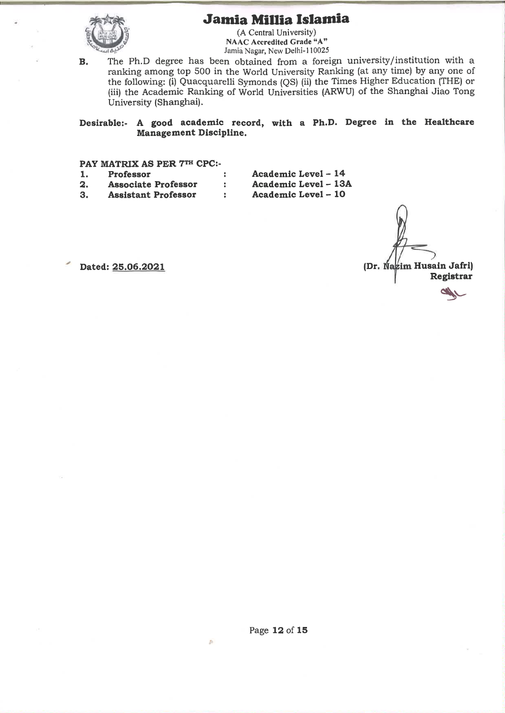

(A Central University)<br>NAAC Accredited Grade "A" Jamia Nagar, New Delhi-110025

The Ph.D degree has been obtained from a foreign university/institution with a  $B.$ ranking among top 500 in the World University Ranking (at any time) by any one of the following: (i) Quacquarelli Symonds (QS) (ii) the Times Higher Education (THE) or (iii) the Academic Ranking of World Universities (ARWU) of the Shanghai Jiao Tong University (Shanghai).

Desirable:- A good academic record, with a Ph.D. Degree in the Healthcare Management Discipline.

PAY MATRIX AS PER 7TH CPC:-

|     | Professor                  | Academic Level - 14  |
|-----|----------------------------|----------------------|
| -2. | <b>Associate Professor</b> | Academic Level - 13A |
| -3. | <b>Assistant Professor</b> | Academic Level - 10  |

(Dr. Nazim Husain Jafri) Registrar

Dated: 25.06.2021

Page 12 of 15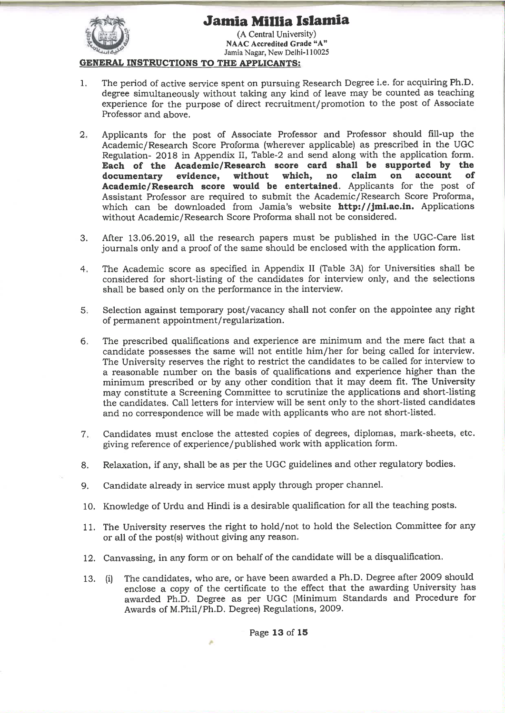

(A Central University) NAAC Accredited Grade "A" Jamia Nagar, New Delhi-110025

#### **GENERAL INSTRUCTIONS TO THE APPLICANTS:**

- The period of active service spent on pursuing Research Degree i.e. for acquiring Ph.D.  $\mathbf{1}$ . degree simultaneously without taking any kind of leave may be counted as teaching experience for the purpose of direct recruitment/promotion to the post of Associate Professor and above.
- $2.$ Applicants for the post of Associate Professor and Professor should fill-up the Academic/Research Score Proforma (wherever applicable) as prescribed in the UGC Regulation- 2018 in Appendix II, Table-2 and send along with the application form. Each of the Academic/Research score card shall be supported by the claim without which. no on account Ω£ documentary evidence, Academic/Research score would be entertained. Applicants for the post of Assistant Professor are required to submit the Academic/Research Score Proforma, which can be downloaded from Jamia's website http://jmi.ac.in. Applications without Academic/Research Score Proforma shall not be considered.
- After 13.06.2019, all the research papers must be published in the UGC-Care list 3. journals only and a proof of the same should be enclosed with the application form.
- The Academic score as specified in Appendix II (Table 3A) for Universities shall be  $4.$ considered for short-listing of the candidates for interview only, and the selections shall be based only on the performance in the interview.
- Selection against temporary post/vacancy shall not confer on the appointee any right  $5.$ of permanent appointment/regularization.
- The prescribed qualifications and experience are minimum and the mere fact that a  $6.$ candidate possesses the same will not entitle him/her for being called for interview. The University reserves the right to restrict the candidates to be called for interview to a reasonable number on the basis of qualifications and experience higher than the minimum prescribed or by any other condition that it may deem fit. The University may constitute a Screening Committee to scrutinize the applications and short-listing the candidates. Call letters for interview will be sent only to the short-listed candidates and no correspondence will be made with applicants who are not short-listed.
- Candidates must enclose the attested copies of degrees, diplomas, mark-sheets, etc.  $7.$ giving reference of experience/published work with application form.
- Relaxation, if any, shall be as per the UGC guidelines and other regulatory bodies. 8.
- 9. Candidate already in service must apply through proper channel.
- 10. Knowledge of Urdu and Hindi is a desirable qualification for all the teaching posts.
- 11. The University reserves the right to hold/not to hold the Selection Committee for any or all of the post(s) without giving any reason.
- 12. Canvassing, in any form or on behalf of the candidate will be a disqualification.
- The candidates, who are, or have been awarded a Ph.D. Degree after 2009 should 13. (i) enclose a copy of the certificate to the effect that the awarding University has awarded Ph.D. Degree as per UGC (Minimum Standards and Procedure for Awards of M.Phil/Ph.D. Degree) Regulations, 2009.

Page 13 of 15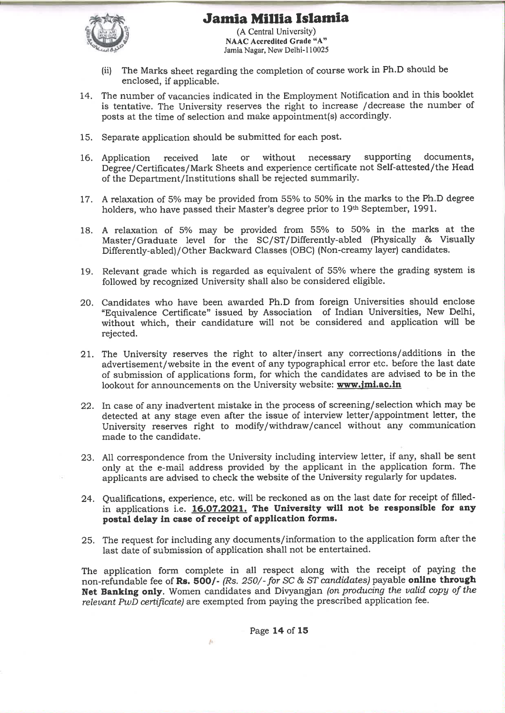

(A Central University) **NAAC Accredited Grade "A"** Jamia Nagar, New Delhi-110025

- The Marks sheet regarding the completion of course work in Ph.D should be  $(ii)$ enclosed, if applicable.
- 14. The number of vacancies indicated in the Employment Notification and in this booklet is tentative. The University reserves the right to increase /decrease the number of posts at the time of selection and make appointment(s) accordingly.
- 15. Separate application should be submitted for each post.
- supporting documents. late without necessary 16. Application received or Degree/Certificates/Mark Sheets and experience certificate not Self-attested/the Head of the Department/Institutions shall be rejected summarily.
- 17. A relaxation of 5% may be provided from 55% to 50% in the marks to the Ph.D degree holders, who have passed their Master's degree prior to 19th September, 1991.
- 18. A relaxation of 5% may be provided from 55% to 50% in the marks at the Master/Graduate level for the SC/ST/Differently-abled (Physically & Visually Differently-abled)/Other Backward Classes (OBC) (Non-creamy layer) candidates.
- 19. Relevant grade which is regarded as equivalent of 55% where the grading system is followed by recognized University shall also be considered eligible.
- 20. Candidates who have been awarded Ph.D from foreign Universities should enclose "Equivalence Certificate" issued by Association of Indian Universities, New Delhi, without which, their candidature will not be considered and application will be rejected.
- 21. The University reserves the right to alter/insert any corrections/additions in the advertisement/website in the event of any typographical error etc. before the last date of submission of applications form, for which the candidates are advised to be in the lookout for announcements on the University website: www.jmi.ac.in
- 22. In case of any inadvertent mistake in the process of screening/selection which may be detected at any stage even after the issue of interview letter/appointment letter, the University reserves right to modify/withdraw/cancel without any communication made to the candidate.
- 23. All correspondence from the University including interview letter, if any, shall be sent only at the e-mail address provided by the applicant in the application form. The applicants are advised to check the website of the University regularly for updates.
- 24. Qualifications, experience, etc. will be reckoned as on the last date for receipt of filledin applications i.e. 16.07.2021. The University will not be responsible for any postal delay in case of receipt of application forms.
- 25. The request for including any documents/information to the application form after the last date of submission of application shall not be entertained.

The application form complete in all respect along with the receipt of paying the non-refundable fee of Rs. 500/- (Rs. 250/- for SC & ST candidates) payable online through Net Banking only. Women candidates and Divyangjan (on producing the valid copy of the relevant PwD certificate) are exempted from paying the prescribed application fee.